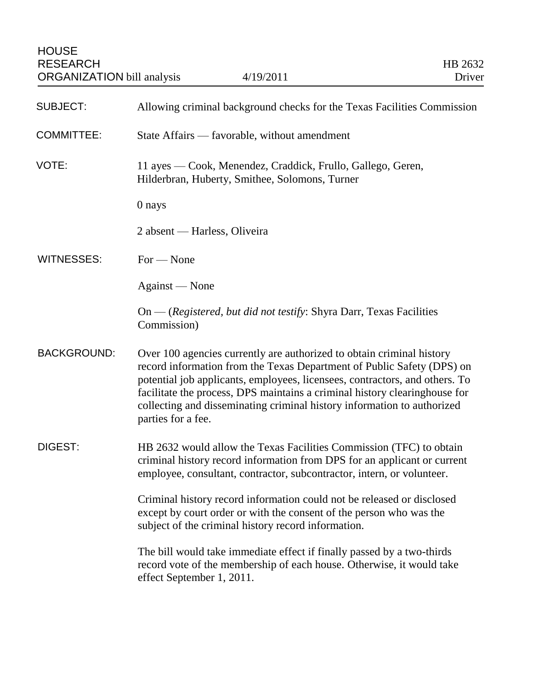| <b>SUBJECT:</b>    | Allowing criminal background checks for the Texas Facilities Commission                                                                                                                                                                                                                                                                                                                                       |
|--------------------|---------------------------------------------------------------------------------------------------------------------------------------------------------------------------------------------------------------------------------------------------------------------------------------------------------------------------------------------------------------------------------------------------------------|
| <b>COMMITTEE:</b>  | State Affairs — favorable, without amendment                                                                                                                                                                                                                                                                                                                                                                  |
| VOTE:              | 11 ayes — Cook, Menendez, Craddick, Frullo, Gallego, Geren,<br>Hilderbran, Huberty, Smithee, Solomons, Turner                                                                                                                                                                                                                                                                                                 |
|                    | 0 nays                                                                                                                                                                                                                                                                                                                                                                                                        |
|                    | 2 absent — Harless, Oliveira                                                                                                                                                                                                                                                                                                                                                                                  |
| WITNESSES:         | $For - None$                                                                                                                                                                                                                                                                                                                                                                                                  |
|                    | Against — None                                                                                                                                                                                                                                                                                                                                                                                                |
|                    | On — (Registered, but did not testify: Shyra Darr, Texas Facilities<br>Commission)                                                                                                                                                                                                                                                                                                                            |
| <b>BACKGROUND:</b> | Over 100 agencies currently are authorized to obtain criminal history<br>record information from the Texas Department of Public Safety (DPS) on<br>potential job applicants, employees, licensees, contractors, and others. To<br>facilitate the process, DPS maintains a criminal history clearinghouse for<br>collecting and disseminating criminal history information to authorized<br>parties for a fee. |
| DIGEST:            | HB 2632 would allow the Texas Facilities Commission (TFC) to obtain<br>criminal history record information from DPS for an applicant or current<br>employee, consultant, contractor, subcontractor, intern, or volunteer.                                                                                                                                                                                     |
|                    | Criminal history record information could not be released or disclosed<br>except by court order or with the consent of the person who was the<br>subject of the criminal history record information.                                                                                                                                                                                                          |
|                    | The bill would take immediate effect if finally passed by a two-thirds<br>record vote of the membership of each house. Otherwise, it would take<br>effect September 1, 2011.                                                                                                                                                                                                                                  |